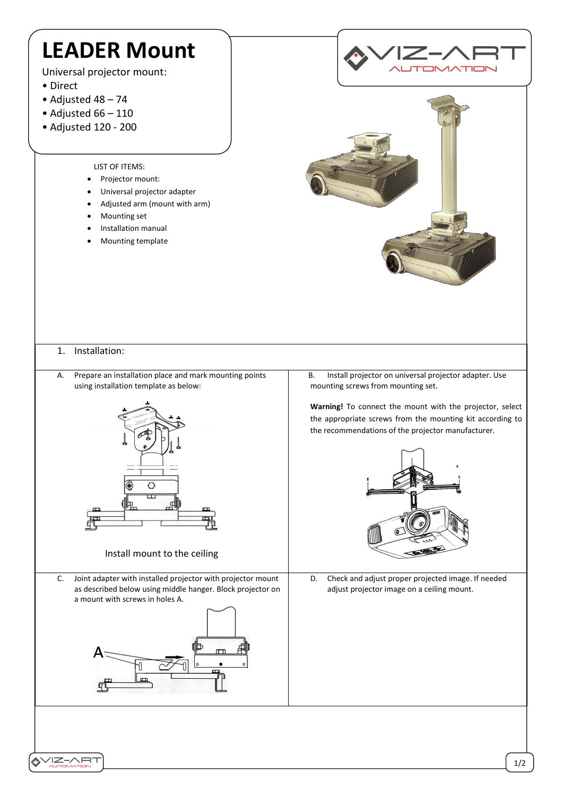